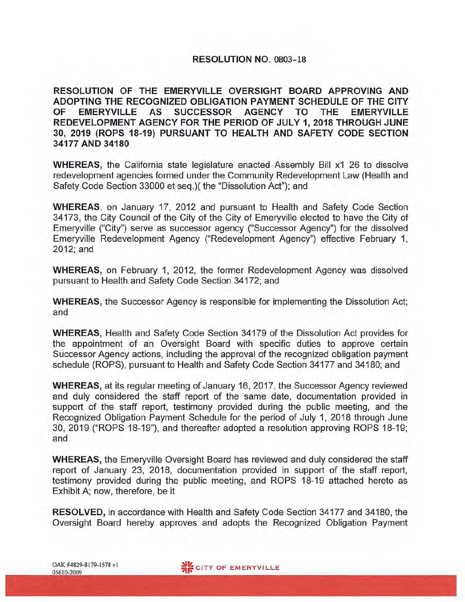#### RESOLUTION NO. OB03-18

**RESOLUTION OF THE EMERYVILLE OVERSIGHT BOARD APPROVING AND ADOPTING THE RECOGNIZED OBLIGATION PAYMENT SCHEDULE OF THE CITY OF EMERYVILLE AS SUCCESSOR AGENCY TO THE EMERYVILLE REDEVELOPMENT AGENCY FOR THE PERIOD OF JULY 1, 2018 THROUGH JUNE 30, 2019 (ROPS 18-19) PURSUANT TO HEAL TH AND SAFETY CODE SECTION 34177 AND 34180** 

**WHEREAS,** the California state legislature enacted Assembly Bill x1 26 to dissolve redevelopment agencies formed under the Community Redevelopment Law (Health and Safety Code Section 33000 et seq.)( the "Dissolution Act"); and

**WHEREAS,** on January 17, 2012 and pursuant to Health and Safety Code Section 34173, the City Council of the City of the City of Emeryville elected to have the City of Emeryville ("City") serve as successor agency ("Successor Agency") for the dissolved Emeryville Redevelopment Agency ("Redevelopment Agency") effective February 1, 2012;and

**WHEREAS,** on February 1, 2012, the former Redevelopment Agency was dissolved pursuant to Health and Safety Code Section 34172; and

**WHEREAS,** the Successor Agency is responsible for implementing the Dissolution Act; and

**WHEREAS,** Health and Safety Code Section 34179 of the Dissolution Act provides for the appointment of an Oversight Board with specific duties to approve certain Successor Agency actions, including the approval of the recognized obligation payment schedule (ROPS), pursuant to Health and Safety Code Section 34177 and 34180; and

**WHEREAS,** at its regular meeting of January 16, 2017, the Successor Agency reviewed and duly considered the staff report of the same date, documentation provided in support of the staff report, testimony provided during the public meeting, and the Recognized Obligation Payment Schedule for the period of July 1, 2018 through June 30, 2019 ("ROPS 18-19"), and thereafter adopted a resolution approving ROPS 18-19; and

**WHEREAS,** the Emeryville Oversight Board has reviewed and duly considered the staff report of January 23, 2018, documentation provided in support of the staff report, testimony provided during the public meeting, and ROPS 18-19 attached hereto as Exhibit A; now, therefore, be it

**RESOLVED,** in accordance with Health and Safety Code Section 34177 and 34180, the Oversight Board hereby approves and adopts the Recognized Obligation Payment

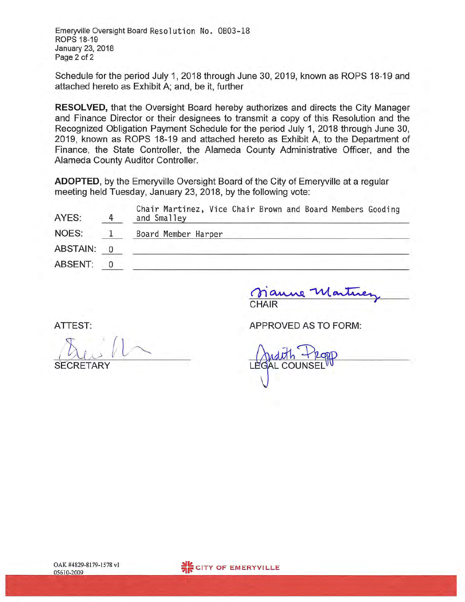Emeryville Oversight Board Resolution No. 0803-18 ROPS 18-19 January 23, 2018 Page 2 of 2

Schedule for the period July 1, 2018 through June 30, 2019, known as ROPS 18-19 and attached hereto as Exhibit A; and, be it, further

**RESOLVED,** that the Oversight Board hereby authorizes and directs the City Manager and Finance Director or their designees to transmit a copy of this Resolution and the Recognized Obligation Payment Schedule for the period July 1, 2018 through June 30, 2019, known as ROPS 18-19 and attached hereto as Exhibit A, to the Department of Finance, the State Controller, the Alameda County Administrative Officer, and the Alameda County Auditor Controller.

**ADOPTED,** by the Emeryville Oversight Board of the City of Emeryville at a regular meeting held Tuesday, January 23, 2018, by the following vote:

| AYES:    | Chair Martinez, Vice Chair Brown and Board Members Gooding<br>and Smalley |
|----------|---------------------------------------------------------------------------|
| NOES:    | Board Member Harper                                                       |
| ABSTAIN: |                                                                           |
| ABSENT:  |                                                                           |

CHAIR

ATTEST:

SECRETARY

APPROVED AS TO FORM:

 $\mathsf{L}\mathsf{E}$ *'*dith Propp<br>L COUNSEL<sup>III</sup>

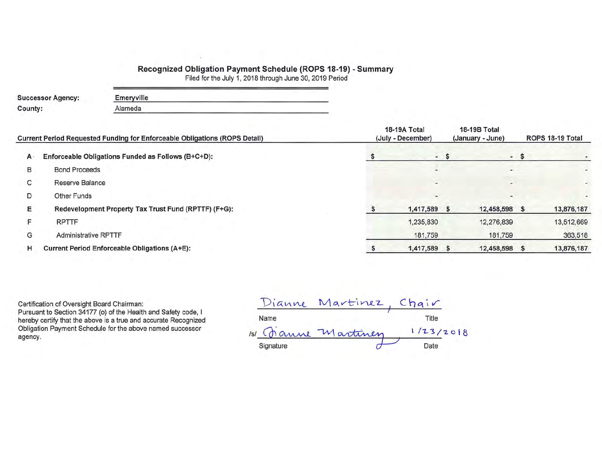#### **Recognized Obligation Payment Schedule (ROPS 18-19)** - **Summary**

Filed for the July 1, 2018 through June 30, 2019 Period

| <b>Successor Agency:</b> | Emeryville |
|--------------------------|------------|
| County:                  | Alameda    |

|       | Current Period Requested Funding for Enforceable Obligations (ROPS Detail) | 18-19A Total<br>(July - December) |      | 18-19B Total<br>(January - June) | ROPS 18-19 Total |                          |  |
|-------|----------------------------------------------------------------------------|-----------------------------------|------|----------------------------------|------------------|--------------------------|--|
| $A -$ | Enforceable Obligations Funded as Follows (B+C+D):                         |                                   | $-5$ |                                  | $-5$             |                          |  |
| в     | <b>Bond Proceeds</b>                                                       | $\overline{\phantom{a}}$          |      | ۰                                |                  | $\overline{\phantom{a}}$ |  |
| С     | Reserve Balance                                                            | $\overline{\phantom{a}}$          |      | $\overline{a}$                   |                  |                          |  |
| D     | Other Funds                                                                | $\overline{a}$                    |      | -                                |                  |                          |  |
| Ε     | Redevelopment Property Tax Trust Fund (RPTTF) (F+G):                       | 1,417,589                         |      | 12,458,598 \$                    |                  | 13,876,187               |  |
|       | <b>RPTTF</b>                                                               | 1,235,830                         |      | 12,276,839                       |                  | 13,512,669               |  |
| G     | <b>Administrative RPTTF</b>                                                | 181,759                           |      | 181,759                          |                  | 363,518                  |  |
| н     | <b>Current Period Enforceable Obligations (A+E):</b>                       | 1,417,589                         |      | 12,458,598 \$                    |                  | 13,876,187               |  |

Certification of Oversight Board Chairman: Pursuant to Section 34177 (o) of the Health and Safety code, I hereby certify that the above is a true and accurate Recognized Obligation Payment Schedule for the above named successor

 $Dianne$  Martinez, Chair Name Title Certification of Oversight Board Chairman:<br>
Pursuant to Section 34177 (o) of the Health and Safety code, I<br>
hereby certify that the above is a true and accurate Recognized<br>
Obligation Payment Schedule for the above named s Signature Date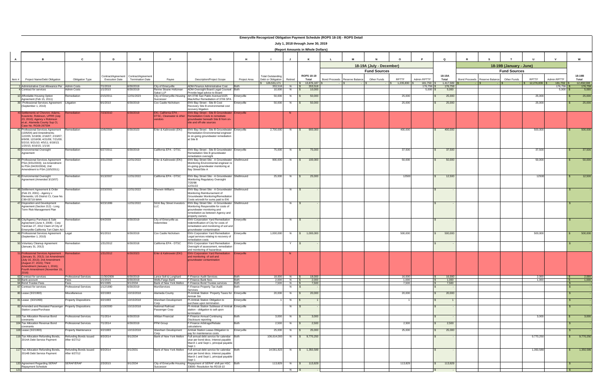|       | July 1, 2018 through June 30, 2019<br>(Report Amounts in Whole Dollars)                                                   |                                         |                       |                                                                  |                                                  |                                                                                                                                  |              |                                                |         |                       |                          |                 |                     |                 |                    |                      |                      |                         |                      |                |                    |                       |
|-------|---------------------------------------------------------------------------------------------------------------------------|-----------------------------------------|-----------------------|------------------------------------------------------------------|--------------------------------------------------|----------------------------------------------------------------------------------------------------------------------------------|--------------|------------------------------------------------|---------|-----------------------|--------------------------|-----------------|---------------------|-----------------|--------------------|----------------------|----------------------|-------------------------|----------------------|----------------|--------------------|-----------------------|
|       | B.                                                                                                                        | $\mathbf{c}$                            | D                     |                                                                  |                                                  | G                                                                                                                                | H            |                                                |         | к                     |                          |                 |                     |                 |                    | $\Omega$             |                      |                         |                      |                |                    | W                     |
|       |                                                                                                                           |                                         |                       |                                                                  |                                                  |                                                                                                                                  |              |                                                |         |                       | 18-19A (July - December) |                 |                     |                 |                    |                      |                      | 18-19B (January - June) |                      |                |                    |                       |
|       |                                                                                                                           |                                         |                       |                                                                  |                                                  |                                                                                                                                  |              |                                                |         |                       |                          |                 | <b>Fund Sources</b> |                 |                    |                      |                      |                         | <b>Fund Sources</b>  |                |                    |                       |
| Item# | Project Name/Debt Obligation                                                                                              | Obligation Type                         | <b>Execution Date</b> | Contract/Agreement Contract/Agreement<br><b>Termination Date</b> | Payee                                            | <b>Description/Project Scope</b>                                                                                                 | Project Area | <b>Total Outstanding</b><br>Debt or Obligation | Retired | ROPS 18-19<br>Total   | <b>Bond Proceeds</b>     | Reserve Balance | Other Funds         | <b>RPTTF</b>    | Admin RPTTF        | 18-19A<br>Total      | <b>Bond Proceeds</b> | Reserve Balance         | RPTTF<br>Other Funds | Admin RPTTF    |                    | 18-19B<br>Total       |
|       | Administrative Cost Allowance Per Admin Costs                                                                             |                                         | /1/2018               | 6/30/2019                                                        | City of Emeryville                               | ADM-Finance Administrative Cost                                                                                                  |              | 126,531,171<br>353,518                         | N I     | 13,876,187<br>353,518 |                          |                 |                     | 1,235,830       | 181,759<br>176,759 | 1,417,589<br>176,759 |                      |                         | 12,276,839           |                | 181,759<br>176,759 | 12,458,598<br>176,759 |
|       | 4 Contract for services                                                                                                   | <b>Admin Costs</b>                      | /1/2015               | 6/30/2019                                                        | Renne Sloane Holtzman<br>Sakai LLP               | ADM-Oversight Board Legal Counsel Both<br>Provide legal advice to Board                                                          |              | 10,000                                         | N       | 10,000                |                          |                 |                     |                 | $5,000$ \$         | 5,000                |                      |                         |                      |                | $5,000$ \$         | 5,000                 |
|       | 10 Affordable Housing Option<br>Agreement (Feb 15, 2011)                                                                  | Remediation                             | 15/2011               | 12/31/2023                                                       | City of Emeryville-Housing<br>Successor          | AH-3706 San Pablo Avenue/1025<br>MacArthur Remediation of 3706 SPA                                                               | Emeryville   | 50,000                                         | N       | 50,000                |                          |                 |                     | 25,000          |                    | 25,000               |                      |                         |                      | 25,000         |                    | 25,000                |
|       | 39 Professional Services Agreement Litigation<br>(September 1, 2010)                                                      |                                         | 9/1/2010              | 6/30/2019                                                        | Cox Castle Nicholsen                             | ENV-Bay Street - Site B Cost<br>Recovery Site B environmental cost                                                               | Emeryville   | 50,000                                         | N       | 50,000                |                          |                 |                     | 25,000          |                    | 25,000               |                      |                         |                      | 25,000         |                    | 25,000                |
|       | 40 Settlements w/ Chevron, Adams,                                                                                         | <b>mediation</b>                        | 7/23/2010             | 6/30/2019                                                        | EKI, California EPA -                            | ecovery litigation<br>ENV-Bay Street - Site B Groundwater Emeryville                                                             |              |                                                | - N     |                       |                          |                 |                     |                 |                    |                      |                      |                         |                      |                |                    |                       |
|       | Koeckritz, Robinson, UPRR (July<br>23, 2010); Agency v Robinson<br>et.al.; Alameda County Sup Ct,<br>Case No. RG06-267594 |                                         |                       |                                                                  | DTSC, Clearwater & other<br>vendors              | Remediation Costs to remediate<br>groundwater beneath Site B from on-<br>site and off-site sources                               |              |                                                |         |                       |                          |                 |                     |                 |                    |                      |                      |                         |                      |                |                    |                       |
|       | 1 Professional Services Agreement<br>(10/6/04) and Amendments;<br>12/2/05; 5/19/06; 2/16/07; 2/19/07;                     | Remediation                             | 10/6/2004             | 3/30/2023                                                        | Erler & Kalinowski (EKI)                         | ENV-Bay Street - Site B Groundwater Emeryville<br>Remediation Environmental engineer<br>re on-going groundwater remediation      |              | 2,700,000                                      | N.      | 900,000               |                          |                 |                     | 400,000         |                    | 400,000              |                      |                         |                      | 500,000        |                    | 500,000               |
|       | 6/9/08; 12/16/08; 4/21/09; 7/21/09;<br>5/2/10; 9/21/10; 4/5/11; 6/18/13;<br>1/20/15; 6/16/15; 1/1/16                      |                                         |                       |                                                                  |                                                  | at Site B                                                                                                                        |              |                                                |         |                       |                          |                 |                     |                 |                    |                      |                      |                         |                      |                |                    |                       |
|       | 43 Environmental Oversight<br>Agreement                                                                                   | Remediation                             | 6/27/2011             | 6/30/2019                                                        | California EPA - DTSC                            | ENV-Bay Street - Site B Groundwater Emeryville<br>Remediation Site B groundwater                                                 |              | 75,000                                         | N       | 75,000                |                          |                 |                     | 37,500          |                    | 37,500               |                      |                         |                      | 37,500         |                    | 37,500                |
|       | 44 Professional Services Agreement                                                                                        | Remediation                             | 3/31/2003             | 12/31/2022                                                       | Erler & Kalinowski (EKI)                         | emediation oversight<br>ENV-Bay Street Site - A Groundwater Shellmound                                                           |              | 900,000                                        | N       | 100,000               |                          |                 |                     | 50,000          |                    | 50,000               |                      |                         |                      | 50,000         |                    | 50,000                |
|       | PSA (3/31/2003); 1st Amendment<br>to PSA (04/20/2004); 2nd<br>Amendment to PSA (10/5/2011)                                |                                         |                       |                                                                  |                                                  | Monitoring Environmental engineer re<br>on-going groundwater monitoring at<br>Bay Street/Site A                                  |              |                                                |         |                       |                          |                 |                     |                 |                    |                      |                      |                         |                      |                |                    |                       |
|       | 45 Environmental Oversight<br>Agreement (Amended 3/13/07)                                                                 | Remediation                             | 3/13/2007             | 12/31/2022                                                       | California EPA - DTSC                            | ENV-Bay Street Site - A Groundwater Shellmound<br>Monitoring Regulatory Oversight                                                |              | 25,000                                         | N.      | 25,000                |                          |                 |                     | 1250            |                    | 12,500               |                      |                         |                      | 12500          |                    | 12,500                |
|       | 46 Settlement Agreement & Order                                                                                           | Remediation                             | 2/23/2001             | 12/31/2022                                                       | Sherwin Williams                                 | 7/20/98<br>12/31/22<br>ENV-Bay Street Site - A Groundwater Shellmound                                                            |              |                                                | N       |                       |                          |                 |                     |                 |                    |                      |                      |                         |                      |                |                    |                       |
|       | (Feb 23, 2001) - Agency v<br>Elementis; US District Ct, Case No.                                                          |                                         |                       |                                                                  |                                                  | Monitoring Reimbursement of<br>Groundwater Monitoring/Remediation                                                                |              |                                                |         |                       |                          |                 |                     |                 |                    |                      |                      |                         |                      |                |                    |                       |
|       | C99-03719 WHA<br>47 Disposition and Development                                                                           | Remediation                             | 9/23/1999             | 12/31/2022                                                       | 5616 Bay Street Investors                        | Costs w/credit for sums paid to EKI<br>ENV-Bay Street Site - A Groundwater Shellmound                                            |              |                                                | N       | IS.                   |                          |                 |                     |                 |                    |                      |                      |                         |                      |                |                    |                       |
|       | Agreement (Section 212) - Long<br>Term Risk Management Plan                                                               |                                         |                       |                                                                  |                                                  | Monitoring Responsible for costs of<br>groundwater monitoring and<br>remediation as between Agency and<br>property owners        |              |                                                |         |                       |                          |                 |                     |                 |                    |                      |                      |                         |                      |                |                    |                       |
|       | 48 City/Agency Purchase & Sale<br>Agreement (June 4, 2009) - Corp                                                         | Remediation                             | 6/4/2009              | 6/30/2019                                                        | City of Emeryville as<br>Indemnitee              | <b>ENV-Corporation Yard Remediation</b><br>Indemnification of City for costs of                                                  | Emeryville   |                                                | N \$    |                       |                          |                 |                     |                 |                    |                      |                      |                         |                      |                |                    |                       |
|       | Yard/Jan 27, 2012 Claim of City of<br>Emervville-California Tort Claim Act<br>49 Professional Services Agreement          | Legal                                   | 9/1/2010              | 6/30/2019                                                        | Cox Castle Nicholsen                             | remediation and monitoring of soil and<br>groundwater contamination<br><b>ENV-Corporation Yard Remediation</b>                   | Emeryville   | 1,000,000                                      |         | N \$ 1,000,000        |                          |                 |                     | 500,000         |                    | 500,000              |                      |                         |                      | 500,000        |                    | 500,000               |
|       | (September 1, 2010)                                                                                                       |                                         |                       |                                                                  |                                                  | egal services relating to recovery of<br>emediation costs                                                                        |              |                                                |         |                       |                          |                 |                     |                 |                    |                      |                      |                         |                      |                |                    |                       |
|       | 50 Voluntary Cleanup Agreement<br>(January 31, 2012)                                                                      | Remediation                             | 1/31/2012             | 6/30/2018                                                        | California EPA - DTSC                            | <b>ENV-Corporation Yard Remediation</b><br>Oversight of assessment, remediation<br>and monitoring of hazardous                   | Emeryville   |                                                | Y       |                       |                          |                 |                     |                 |                    |                      |                      |                         |                      |                |                    |                       |
|       | 51 Professional Services Agreement Remediation<br>(January 31, 2012); 1st Amendment                                       |                                         | 1/31/2012             | 6/30/2023                                                        | Erler & Kalinowski (EKI)                         | <b>ENV-Corporation Yard Remediation Emeryville</b><br>and monitoring of soil and                                                 |              |                                                | -N      |                       |                          |                 |                     |                 |                    |                      |                      |                         |                      |                |                    |                       |
|       | (July 16, 2013); 2nd Amendment<br>(August 27, 2015); Third<br>Amendment (January 1, 2016);                                |                                         |                       |                                                                  |                                                  | oundwater contamination                                                                                                          |              |                                                |         |                       |                          |                 |                     |                 |                    |                      |                      |                         |                      |                |                    |                       |
|       | Fourth Amendment (November 15,                                                                                            |                                         |                       |                                                                  |                                                  |                                                                                                                                  |              |                                                |         |                       |                          |                 |                     |                 |                    |                      |                      |                         |                      |                |                    |                       |
|       | 62 Contract for services<br>63 Bank account                                                                               | <b>Professional Services</b><br>Fees    | 11/30/2009<br>/1/2015 | 6/30/2019<br>6/30/2019                                           | Lance Soll & Lunghard<br>Wells Fargo Bank        | F-Finance Audit Services<br>F-Finance Bank fees                                                                                  | Both<br>Both | 18,000<br>2,000                                | N   \$  | 18,000<br>2,000       |                          |                 |                     | 16,000<br>1.000 |                    | 16,000<br>1,000      |                      |                         |                      | 2,000<br>1,000 |                    | 2,000<br>1,000        |
|       | 64 Bond Trustee Fees                                                                                                      | Fees                                    | 9/1/1995              | 9/1/2034                                                         | Bank of New York Mellon                          | F-Finance Bond Trustee services                                                                                                  | Both         | 7,500                                          | N       | 7,500                 |                          |                 |                     | 7,500           |                    | 7,500                |                      |                         |                      |                |                    |                       |
|       | 67 Contract for services                                                                                                  | Professional Services                   | 1/12/1990             | 6/30/2019                                                        | MuniServices                                     | -Finance Property Tax Audit<br>services                                                                                          |              |                                                | N       | IS.                   |                          |                 |                     |                 |                    |                      |                      |                         |                      |                |                    |                       |
|       | 80 Lease (3/2/1993)                                                                                                       | Miscellaneous                           | 3/2/1993              | 10/15/2018                                                       | Alameda County                                   | PI-Amtrak Station Property Taxes for Emeryville<br>Amtrak Stn                                                                    |              | 20,000                                         | N.      | 20,000                |                          |                 |                     | 20,000          |                    | 20,000               |                      |                         |                      |                |                    |                       |
|       | 81 Lease (3/2/1993)<br>82 Amended and Restated Passenger Property Dispositions                                            | <b>Property Dispositions</b>            | 3/2/1993<br>/19/2000  | 10/15/2018<br>10/15/2018                                         | Nareham Development<br>Corp<br>National Railroad | PI-Amtrak Station Obligation to<br>ourchase upon termination<br><sup>2</sup> I-Amtrak Station Sublease of Amtrak Emeryville      | Emeryville   |                                                | N<br>N  |                       |                          |                 |                     |                 |                    |                      |                      |                         |                      |                |                    |                       |
|       | Station Lease/Purchase                                                                                                    |                                         |                       |                                                                  | Passenger Corp                                   | station - obligation to sell upon<br>ermination                                                                                  |              |                                                |         |                       |                          |                 |                     |                 |                    |                      |                      |                         |                      |                |                    |                       |
|       | 103 Tax Allocation Revenue Bond<br>covenants                                                                              | Professional Services                   | /1/2014               | 6/30/2019                                                        | Wildan Financial                                 | -Finance Annual Continuing<br>Disclosure reporting                                                                               |              | 3,000                                          | N       | 3,000<br>IS           |                          |                 |                     |                 |                    |                      |                      |                         |                      | 3,000          |                    | 3,000                 |
|       | 104 Tax Allocation Revenue Bond<br>covenants                                                                              | <b>Professional Services</b>            | /1/2014               | 6/30/2019                                                        | PFM Group                                        | -Finance Arbitrage/Rebate<br>calculations                                                                                        | 3oth         | 2,500                                          | $N$ $S$ | 2,500                 |                          |                 |                     | 2,500           |                    | 2,500                |                      |                         |                      |                |                    |                       |
|       | 108 Lease (3/2/1993)                                                                                                      | Property Maintenance                    | 3/2/1993              | 10/15/2018                                                       | Vareham Development<br>Corp.                     | Amtrak Station Lease-Obligation to<br>pay for maintenance costs                                                                  | Emeryville   | 25,000                                         | N.      | 25,000                |                          |                 |                     | 25,000          |                    | 25,000               |                      |                         |                      |                |                    |                       |
|       | 116 Tax Allocation Refunding Bonds,<br>2014A Debt Service Payment                                                         | Refunding Bonds Issued<br>After 6/27/12 | 9/3/2014              | 9/1/2034                                                         | Bank of New York Mellon                          | Full annual debt service for calendar<br>year per bond docs. Interest payable<br>March 1 and Sept 1, principal payable<br>Sept 1 |              | 106,614,000                                    |         | N \$ 9,770,250        |                          |                 |                     |                 |                    |                      |                      |                         | 9,770,250            |                |                    | 9,770,250             |
|       | 117 Tax Allocation Refunding Bonds,<br>2014B Debt Service Payment                                                         | Refunding Bonds Issued<br>After 6/27/12 | 9/3/2014              | 9/1/2031                                                         | Bank of New York Mellon                          | Full annual debt service for calendar<br>year per bond docs. Interest payable<br>March 1 and Sept 1, principal payable           |              | 14,561,823                                     |         | N   \$ 1,350,589      |                          |                 |                     |                 |                    |                      |                      |                         | 1,350,589            |                |                    | 1,350,589             |
|       | 120 Agreement Regarding SERAF<br>Repayment Schedule                                                                       | SERAF/ERAF                              | 2/3/2015              | 9/1/2034                                                         | Successor                                        | Sept 1<br>City of Emeryville Housing Repayment of SERAF shift per HSC Both<br>33690- Resolution No RD19-10                       |              | 113,829                                        |         | N   \$ 113,829        |                          |                 |                     | 113,829         |                    | 113,829              |                      |                         |                      |                |                    |                       |
| 121   |                                                                                                                           |                                         |                       |                                                                  |                                                  |                                                                                                                                  |              |                                                | N \$    |                       |                          |                 |                     |                 |                    |                      |                      |                         |                      |                |                    |                       |

| <b>Report Amounts in Whole Dollars)</b> |  |  |
|-----------------------------------------|--|--|
|                                         |  |  |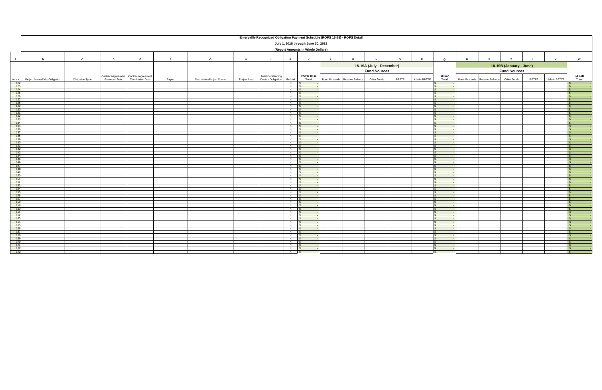|              | Emeryville Recognized Obligation Payment Schedule (ROPS 18-19) - ROPS Detail                                          |                 |                       |                                                                  |       |                                  |              |                                                |                   |                     |                     |                               |             |       |             |                          |                                           |  |       |             |                              |
|--------------|-----------------------------------------------------------------------------------------------------------------------|-----------------|-----------------------|------------------------------------------------------------------|-------|----------------------------------|--------------|------------------------------------------------|-------------------|---------------------|---------------------|-------------------------------|-------------|-------|-------------|--------------------------|-------------------------------------------|--|-------|-------------|------------------------------|
|              | July 1, 2018 through June 30, 2019                                                                                    |                 |                       |                                                                  |       |                                  |              |                                                |                   |                     |                     |                               |             |       |             |                          |                                           |  |       |             |                              |
|              | (Report Amounts in Whole Dollars)                                                                                     |                 |                       |                                                                  |       |                                  |              |                                                |                   |                     |                     |                               |             |       |             |                          |                                           |  |       |             |                              |
| $\mathbf{A}$ | $\mathbf{c}$<br>D<br>E<br>G<br>U<br>$\mathbf{v}$<br>W<br>$\overline{B}$<br>E<br>H<br>K<br>M<br>$\circ$<br>Q<br>J<br>N |                 |                       |                                                                  |       |                                  |              |                                                |                   |                     |                     |                               |             |       |             |                          |                                           |  |       |             |                              |
|              | 18-19A (July - December)<br>18-19B (January - June)                                                                   |                 |                       |                                                                  |       |                                  |              |                                                |                   |                     |                     |                               |             |       |             |                          |                                           |  |       |             |                              |
|              |                                                                                                                       |                 |                       |                                                                  |       |                                  |              |                                                |                   |                     | <b>Fund Sources</b> |                               |             |       |             | <b>Fund Sources</b>      |                                           |  |       |             |                              |
| Item#        | Project Name/Debt Obligation                                                                                          | Obligation Type | <b>Execution Date</b> | Contract/Agreement Contract/Agreement<br><b>Termination Date</b> | Payee | <b>Description/Project Scope</b> | Project Area | <b>Total Outstanding</b><br>Debt or Obligation | Retired           | ROPS 18-19<br>Total |                     | Bond Proceeds Reserve Balance | Other Funds | RPTTF | Admin RPTTF | 18-19A<br>Total          | Bond Proceeds Reserve Balance Other Funds |  | RPTTF | Admin RPTTF | 18-19B<br>Total              |
| 122<br>123   |                                                                                                                       |                 |                       |                                                                  |       |                                  |              |                                                | $N$ \$<br>$N$ \$  |                     |                     |                               |             |       |             | IS.                      |                                           |  |       |             | l S                          |
| 124          |                                                                                                                       |                 |                       |                                                                  |       |                                  |              |                                                | $N$ \$            |                     |                     |                               |             |       |             | $\mathbb{R}$             |                                           |  |       |             | $\mathsf{s}$                 |
| 125          |                                                                                                                       |                 |                       |                                                                  |       |                                  |              |                                                | $N$ \$            |                     |                     |                               |             |       |             |                          |                                           |  |       |             | $\sqrt{S}$                   |
| 126<br>127   |                                                                                                                       |                 |                       |                                                                  |       |                                  |              |                                                | $N$ \$<br>$N$ \$  |                     |                     |                               |             |       |             | l S<br>$\sqrt{s}$        |                                           |  |       |             | $\mathsf{S}$<br>$\mathsf{S}$ |
| 128          |                                                                                                                       |                 |                       |                                                                  |       |                                  |              |                                                | $N$ \$            |                     |                     |                               |             |       |             |                          |                                           |  |       |             | $\mathsf{s}$                 |
| 129<br>130   |                                                                                                                       |                 |                       |                                                                  |       |                                  |              |                                                | $N$ \$<br>$N$ \$  |                     |                     |                               |             |       |             |                          |                                           |  |       |             | $\sqrt{S}$                   |
| 131          |                                                                                                                       |                 |                       |                                                                  |       |                                  |              |                                                | $N$ $S$           |                     |                     |                               |             |       |             | $\overline{\mathbf{s}}$  |                                           |  |       |             | IS.<br>IS-                   |
| 132          |                                                                                                                       |                 |                       |                                                                  |       |                                  |              |                                                | $N$ \$            |                     |                     |                               |             |       |             | $\sqrt{s}$               |                                           |  |       |             | $\sqrt{s}$                   |
| 133<br>134   |                                                                                                                       |                 |                       |                                                                  |       |                                  |              |                                                | $N$ \$<br>$N$ \$  |                     |                     |                               |             |       |             | <b>S</b><br>IS.          |                                           |  |       |             | $\sqrt{S}$                   |
| 135          |                                                                                                                       |                 |                       |                                                                  |       |                                  |              |                                                | $N$ S             |                     |                     |                               |             |       |             |                          |                                           |  |       |             | IS-<br>IS.                   |
| 136          |                                                                                                                       |                 |                       |                                                                  |       |                                  |              |                                                | $N$ $S$           |                     |                     |                               |             |       |             | $\sim$                   |                                           |  |       |             | $\sqrt{s}$                   |
| 137<br>138   |                                                                                                                       |                 |                       |                                                                  |       |                                  |              |                                                | $N$ \$<br>$N$ \$  |                     |                     |                               |             |       |             |                          |                                           |  |       |             | $\sqrt{S}$<br>$\sqrt{S}$     |
| 139          |                                                                                                                       |                 |                       |                                                                  |       |                                  |              |                                                | $N$ $\sqrt{s}$    |                     |                     |                               |             |       |             | $\mathbb{R}$             |                                           |  |       |             | $\mathsf{S}$                 |
| 140          |                                                                                                                       |                 |                       |                                                                  |       |                                  |              |                                                | $N$ \$            |                     |                     |                               |             |       |             | $\sqrt{2}$               |                                           |  |       |             | $\sqrt{s}$                   |
| 141<br>142   |                                                                                                                       |                 |                       |                                                                  |       |                                  |              |                                                | $N$ \$<br>$N$ \$  |                     |                     |                               |             |       |             | <b>S</b>                 |                                           |  |       |             | $\mathsf{S}$<br>$\mathsf{S}$ |
| 143          |                                                                                                                       |                 |                       |                                                                  |       |                                  |              |                                                | $N$ $S$           |                     |                     |                               |             |       |             | $\sqrt{s}$               |                                           |  |       |             | $\mathsf{s}$                 |
| 144          |                                                                                                                       |                 |                       |                                                                  |       |                                  |              |                                                | $N$ \$<br>$N$ \$  |                     |                     |                               |             |       |             | <b>S</b>                 |                                           |  |       |             | $\sqrt{s}$                   |
| 145<br>146   |                                                                                                                       |                 |                       |                                                                  |       |                                  |              |                                                | $N$ \$            |                     |                     |                               |             |       |             |                          |                                           |  |       |             | $\sqrt{S}$<br>IS-            |
| 147          |                                                                                                                       |                 |                       |                                                                  |       |                                  |              |                                                | $N$ $S$           |                     |                     |                               |             |       |             | IS.                      |                                           |  |       |             | IS.                          |
| 148<br>149   |                                                                                                                       |                 |                       |                                                                  |       |                                  |              |                                                | $N$ \$<br>$N$ \$  |                     |                     |                               |             |       |             |                          |                                           |  |       |             | $\sqrt{s}$<br>$\sqrt{S}$     |
| 150          |                                                                                                                       |                 |                       |                                                                  |       |                                  |              |                                                | $N$ \$            |                     |                     |                               |             |       |             |                          |                                           |  |       |             | $\mathsf{S}$                 |
| 151          |                                                                                                                       |                 |                       |                                                                  |       |                                  |              |                                                | $N$ $\sqrt{s}$    |                     |                     |                               |             |       |             | l S                      |                                           |  |       |             | $\mathsf{s}$                 |
| 152<br>153   |                                                                                                                       |                 |                       |                                                                  |       |                                  |              |                                                | $N$ \$<br>$N$ \$  |                     |                     |                               |             |       |             | $\sim$<br>l s            |                                           |  |       |             | $\sqrt{s}$<br>$\sqrt{S}$     |
| 154          |                                                                                                                       |                 |                       |                                                                  |       |                                  |              |                                                | $N$ \$            |                     |                     |                               |             |       |             | IS.                      |                                           |  |       |             | $\sqrt{S}$                   |
| 155          |                                                                                                                       |                 |                       |                                                                  |       |                                  |              |                                                | $N$ \$            |                     |                     |                               |             |       |             | $\sqrt{s}$               |                                           |  |       |             | $\mathsf{S}$                 |
| 156<br>157   |                                                                                                                       |                 |                       |                                                                  |       |                                  |              |                                                | $N$ \$<br>$N$ \$  |                     |                     |                               |             |       |             | $\mathbb{R}$             |                                           |  |       |             | $\sqrt{s}$<br>$\mathsf{S}$   |
| 158          |                                                                                                                       |                 |                       |                                                                  |       |                                  |              |                                                | $N$ $S$           |                     |                     |                               |             |       |             | IS.                      |                                           |  |       |             | IS-                          |
| 159          |                                                                                                                       |                 |                       |                                                                  |       |                                  |              |                                                | $N$ $S$           |                     |                     |                               |             |       |             | IS.                      |                                           |  |       |             | $\sqrt{S}$                   |
| 160<br>161   |                                                                                                                       |                 |                       |                                                                  |       |                                  |              |                                                | $N$ \$<br>$N$ \$  |                     |                     |                               |             |       |             | $\mathbb{R}$             |                                           |  |       |             | $\sqrt{s}$<br>$\mathsf{S}$   |
| 162          |                                                                                                                       |                 |                       |                                                                  |       |                                  |              |                                                | $N$ \$            |                     |                     |                               |             |       |             | l S                      |                                           |  |       |             | $\mathsf{S}$                 |
| 163          |                                                                                                                       |                 |                       |                                                                  |       |                                  |              |                                                | $N$ \$            |                     |                     |                               |             |       |             | $\mathbf{s}$             |                                           |  |       |             | $\mathsf{S}$                 |
| 164<br>165   |                                                                                                                       |                 |                       |                                                                  |       |                                  |              |                                                | $N$ \$<br>$N$ $S$ |                     |                     |                               |             |       |             | $\mathbb{R}$             |                                           |  |       |             | $\sqrt{s}$<br>$\sqrt{S}$     |
| 166          |                                                                                                                       |                 |                       |                                                                  |       |                                  |              |                                                | $N$ \$            |                     |                     |                               |             |       |             |                          |                                           |  |       |             | $\mathsf{S}$                 |
| 167          |                                                                                                                       |                 |                       |                                                                  |       |                                  |              |                                                | $N$ $S$           |                     |                     |                               |             |       |             | $\sim$                   |                                           |  |       |             | IS.                          |
| 168<br>169   |                                                                                                                       |                 |                       |                                                                  |       |                                  |              |                                                | $N$ \$<br>$N$ \$  |                     |                     |                               |             |       |             | l \$                     |                                           |  |       |             | $\sqrt{s}$<br>$\sqrt{S}$     |
| 170          |                                                                                                                       |                 |                       |                                                                  |       |                                  |              |                                                | $N$ \$            |                     |                     |                               |             |       |             | l SS                     |                                           |  |       |             | IS-                          |
| 171<br>172   |                                                                                                                       |                 |                       |                                                                  |       |                                  |              |                                                | $N$ $S$<br>$N$ \$ |                     |                     |                               |             |       |             | <b>S</b><br>$\mathbb{R}$ |                                           |  |       |             | $\sqrt{S}$<br>$\sqrt{s}$     |
| 173          |                                                                                                                       |                 |                       |                                                                  |       |                                  |              |                                                | $N$ \$            |                     |                     |                               |             |       |             |                          |                                           |  |       |             | \$                           |
|              |                                                                                                                       |                 |                       |                                                                  |       |                                  |              |                                                |                   |                     |                     |                               |             |       |             |                          |                                           |  |       |             |                              |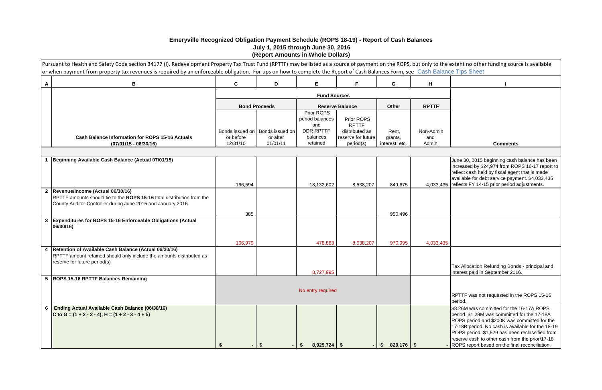|               | Form, see Cash Balance Tips Sheet | e ROPS, but only to the extent no other funding source is available                                                                                                                                                                                                                                                                                    |
|---------------|-----------------------------------|--------------------------------------------------------------------------------------------------------------------------------------------------------------------------------------------------------------------------------------------------------------------------------------------------------------------------------------------------------|
| G             | н                                 | ı                                                                                                                                                                                                                                                                                                                                                      |
|               |                                   |                                                                                                                                                                                                                                                                                                                                                        |
| ther          | <b>RPTTF</b>                      |                                                                                                                                                                                                                                                                                                                                                        |
|               |                                   |                                                                                                                                                                                                                                                                                                                                                        |
| ent,<br>ants, | Non-Admin<br>and                  |                                                                                                                                                                                                                                                                                                                                                        |
| st, etc.      | Admin                             | <b>Comments</b>                                                                                                                                                                                                                                                                                                                                        |
|               |                                   |                                                                                                                                                                                                                                                                                                                                                        |
| 349,675       | 4,033,435                         | June 30, 2015 beginning cash balance has been<br>increased by \$24,974 from ROPS 16-17 report to<br>reflect cash held by fiscal agent that is made<br>available for debt service payment. \$4,033,435<br>reflects FY 14-15 prior period adjustments.                                                                                                   |
| 150,496       |                                   |                                                                                                                                                                                                                                                                                                                                                        |
| 170,995       | 4,033,435                         |                                                                                                                                                                                                                                                                                                                                                        |
|               |                                   | Tax Allocation Refunding Bonds - principal and<br>interest paid in September 2016.                                                                                                                                                                                                                                                                     |
|               |                                   | RPTTF was not requested in the ROPS 15-16<br>period.                                                                                                                                                                                                                                                                                                   |
| 329,176       | \$                                | \$8.26M was committed for the 16-17A ROPS<br>period. \$1.29M was committed for the 17-18A<br>ROPS period and \$200K was committed for the<br>17-18B period. No cash is available for the 18-19<br>ROPS period. \$1,529 has been reclassified from<br>reserve cash to other cash from the prior/17-18<br>ROPS report based on the final reconciliation. |

|   | Pursuant to Health and Safety Code section 34177 (I), Redevelopment Property Tax Trust Fund (RPTTF) may be listed as a source of payment on the ROPS, but only to the extent no other funding source is available<br>or when payment from property tax revenues is required by an enforceable obligation. For tips on how to complete the Report of Cash Balances Form, see Cash Balance Tips Sheet |                       |                      |                                      |                                 |                           |              |                                                                                                                                                                                                                                                                                                                                                    |
|---|-----------------------------------------------------------------------------------------------------------------------------------------------------------------------------------------------------------------------------------------------------------------------------------------------------------------------------------------------------------------------------------------------------|-----------------------|----------------------|--------------------------------------|---------------------------------|---------------------------|--------------|----------------------------------------------------------------------------------------------------------------------------------------------------------------------------------------------------------------------------------------------------------------------------------------------------------------------------------------------------|
| A | B                                                                                                                                                                                                                                                                                                                                                                                                   | $\mathbf c$           | D                    | E.                                   | F.                              | G                         | H            |                                                                                                                                                                                                                                                                                                                                                    |
|   |                                                                                                                                                                                                                                                                                                                                                                                                     |                       |                      |                                      |                                 |                           |              |                                                                                                                                                                                                                                                                                                                                                    |
|   |                                                                                                                                                                                                                                                                                                                                                                                                     |                       | <b>Bond Proceeds</b> |                                      | <b>Reserve Balance</b>          | Other                     | <b>RPTTF</b> |                                                                                                                                                                                                                                                                                                                                                    |
|   |                                                                                                                                                                                                                                                                                                                                                                                                     |                       |                      | Prior ROPS<br>period balances<br>and | Prior ROPS<br><b>RPTTF</b>      |                           |              |                                                                                                                                                                                                                                                                                                                                                    |
|   |                                                                                                                                                                                                                                                                                                                                                                                                     | Bonds issued on       | Bonds issued on      | <b>DDR RPTTF</b>                     | distributed as                  | Rent,                     | Non-Admin    |                                                                                                                                                                                                                                                                                                                                                    |
|   | <b>Cash Balance Information for ROPS 15-16 Actuals</b><br>$(07/01/15 - 06/30/16)$                                                                                                                                                                                                                                                                                                                   | or before<br>12/31/10 | or after<br>01/01/11 | balances<br>retained                 | reserve for future<br>period(s) | grants,<br>interest, etc. | and<br>Admin | <b>Comments</b>                                                                                                                                                                                                                                                                                                                                    |
|   |                                                                                                                                                                                                                                                                                                                                                                                                     |                       |                      |                                      |                                 |                           |              |                                                                                                                                                                                                                                                                                                                                                    |
|   | Beginning Available Cash Balance (Actual 07/01/15)                                                                                                                                                                                                                                                                                                                                                  | 166,594               |                      | 18,132,602                           | 8,538,207                       | 849,675                   |              | June 30, 2015 beginning cash balance has be<br>increased by \$24,974 from ROPS 16-17 repor<br>reflect cash held by fiscal agent that is made<br>available for debt service payment. \$4,033,43<br>4,033,435   reflects FY 14-15 prior period adjustments.                                                                                          |
|   | 2  Revenue/Income (Actual 06/30/16)<br>RPTTF amounts should tie to the ROPS 15-16 total distribution from the<br>County Auditor-Controller during June 2015 and January 2016.                                                                                                                                                                                                                       |                       |                      |                                      |                                 |                           |              |                                                                                                                                                                                                                                                                                                                                                    |
|   |                                                                                                                                                                                                                                                                                                                                                                                                     | 385                   |                      |                                      |                                 | 950,496                   |              |                                                                                                                                                                                                                                                                                                                                                    |
|   | 3 Expenditures for ROPS 15-16 Enforceable Obligations (Actual<br>06/30/16)                                                                                                                                                                                                                                                                                                                          |                       |                      |                                      |                                 |                           |              |                                                                                                                                                                                                                                                                                                                                                    |
|   |                                                                                                                                                                                                                                                                                                                                                                                                     | 166,979               |                      | 478,883                              | 8,538,207                       | 970,995                   | 4,033,435    |                                                                                                                                                                                                                                                                                                                                                    |
|   | 4   Retention of Available Cash Balance (Actual 06/30/16)<br>RPTTF amount retained should only include the amounts distributed as<br>reserve for future period(s)                                                                                                                                                                                                                                   |                       |                      | 8,727,995                            |                                 |                           |              | Tax Allocation Refunding Bonds - principal an<br>interest paid in September 2016.                                                                                                                                                                                                                                                                  |
|   | 5  ROPS 15-16 RPTTF Balances Remaining                                                                                                                                                                                                                                                                                                                                                              |                       |                      |                                      |                                 |                           |              |                                                                                                                                                                                                                                                                                                                                                    |
|   |                                                                                                                                                                                                                                                                                                                                                                                                     |                       |                      | No entry required                    |                                 |                           |              | RPTTF was not requested in the ROPS 15-16<br>period.                                                                                                                                                                                                                                                                                               |
| 6 | <b>Ending Actual Available Cash Balance (06/30/16)</b><br>C to G = $(1 + 2 - 3 - 4)$ , H = $(1 + 2 - 3 - 4 + 5)$                                                                                                                                                                                                                                                                                    |                       |                      | $8,925,724$ \$                       |                                 | $829,176$ \$<br>S.        |              | \$8.26M was committed for the 16-17A ROPS<br>period. \$1.29M was committed for the 17-18A<br>ROPS period and \$200K was committed for th<br>17-18B period. No cash is available for the 18<br>ROPS period. \$1,529 has been reclassified fre<br>reserve cash to other cash from the prior/17-1<br>- ROPS report based on the final reconciliation. |

## **Emeryville Recognized Obligation Payment Schedule (ROPS 18-19) - Report of Cash Balances July 1, 2015 through June 30, 2016 (Report Amounts in Whole Dollars)**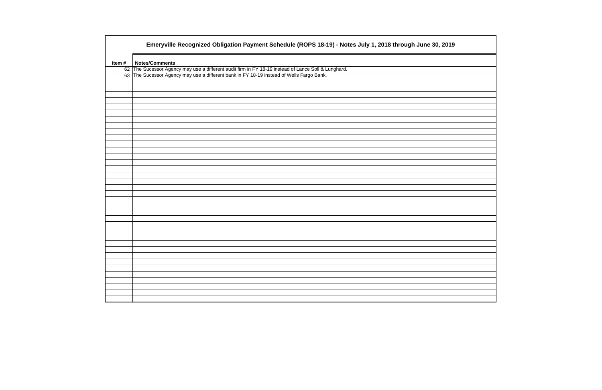|       | Emeryville Recognized Obligation Payment Schedule (ROPS 18-19) - Notes July 1, 2018 through June 30, 2019 |
|-------|-----------------------------------------------------------------------------------------------------------|
| Item# | <b>Notes/Comments</b>                                                                                     |
|       | 62 The Sucessor Agency may use a different audit firm in FY 18-19 instead of Lance Soll & Lunghard.       |
|       | 63 The Sucessor Agency may use a different bank in FY 18-19 instead of Wells Fargo Bank.                  |
|       |                                                                                                           |
|       |                                                                                                           |
|       |                                                                                                           |
|       |                                                                                                           |
|       |                                                                                                           |
|       |                                                                                                           |
|       |                                                                                                           |
|       |                                                                                                           |
|       |                                                                                                           |
|       |                                                                                                           |
|       |                                                                                                           |
|       |                                                                                                           |
|       |                                                                                                           |
|       |                                                                                                           |
|       |                                                                                                           |
|       |                                                                                                           |
|       |                                                                                                           |
|       |                                                                                                           |
|       |                                                                                                           |
|       |                                                                                                           |
|       |                                                                                                           |
|       |                                                                                                           |
|       |                                                                                                           |
|       |                                                                                                           |
|       |                                                                                                           |
|       |                                                                                                           |
|       |                                                                                                           |
|       |                                                                                                           |
|       |                                                                                                           |
|       |                                                                                                           |
|       |                                                                                                           |
|       |                                                                                                           |
|       |                                                                                                           |
|       |                                                                                                           |
|       |                                                                                                           |